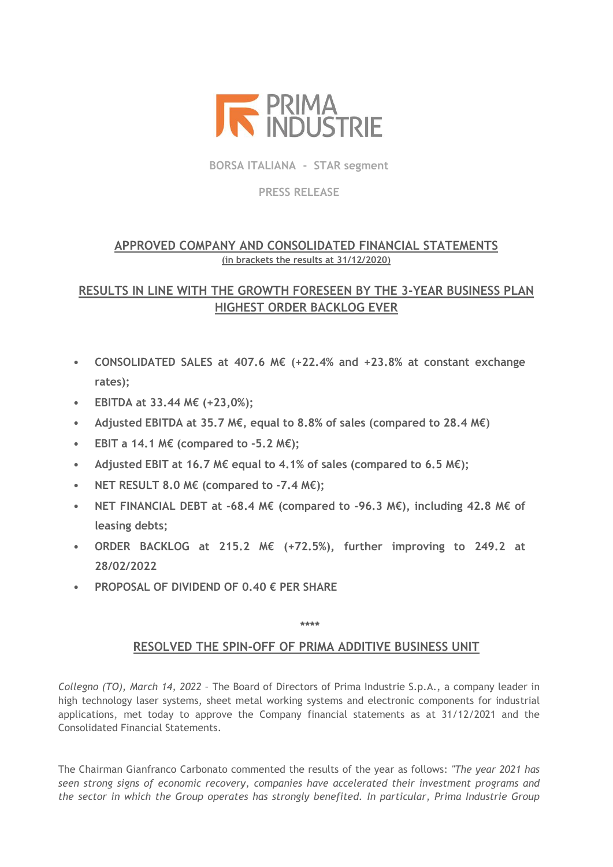

**BORSA ITALIANA - STAR segment**

## **PRESS RELEASE**

# **APPROVED COMPANY AND CONSOLIDATED FINANCIAL STATEMENTS (in brackets the results at 31/12/2020)**

# **RESULTS IN LINE WITH THE GROWTH FORESEEN BY THE 3-YEAR BUSINESS PLAN HIGHEST ORDER BACKLOG EVER**

- **CONSOLIDATED SALES at 407.6 M€ (+22.4% and +23.8% at constant exchange rates);**
- **EBITDA at 33.44 M€ (+23,0%);**
- **Adjusted EBITDA at 35.7 M€, equal to 8.8% of sales (compared to 28.4 M€)**
- **EBIT a 14.1 M€ (compared to -5.2 M€);**
- **Adjusted EBIT at 16.7 M€ equal to 4.1% of sales (compared to 6.5 M€);**
- **NET RESULT 8.0 M€ (compared to -7.4 M€);**
- **NET FINANCIAL DEBT at -68.4 M€ (compared to -96.3 M€), including 42.8 M€ of leasing debts;**
- **ORDER BACKLOG at 215.2 M€ (+72.5%), further improving to 249.2 at 28/02/2022**
- **PROPOSAL OF DIVIDEND OF 0.40 € PER SHARE**

## **\*\*\*\***

# **RESOLVED THE SPIN-OFF OF PRIMA ADDITIVE BUSINESS UNIT**

*Collegno (TO), March 14, 2022* – The Board of Directors of Prima Industrie S.p.A., a company leader in high technology laser systems, sheet metal working systems and electronic components for industrial applications, met today to approve the Company financial statements as at 31/12/2021 and the Consolidated Financial Statements.

The Chairman Gianfranco Carbonato commented the results of the year as follows: *"The year 2021 has seen strong signs of economic recovery, companies have accelerated their investment programs and the sector in which the Group operates has strongly benefited. In particular, Prima Industrie Group*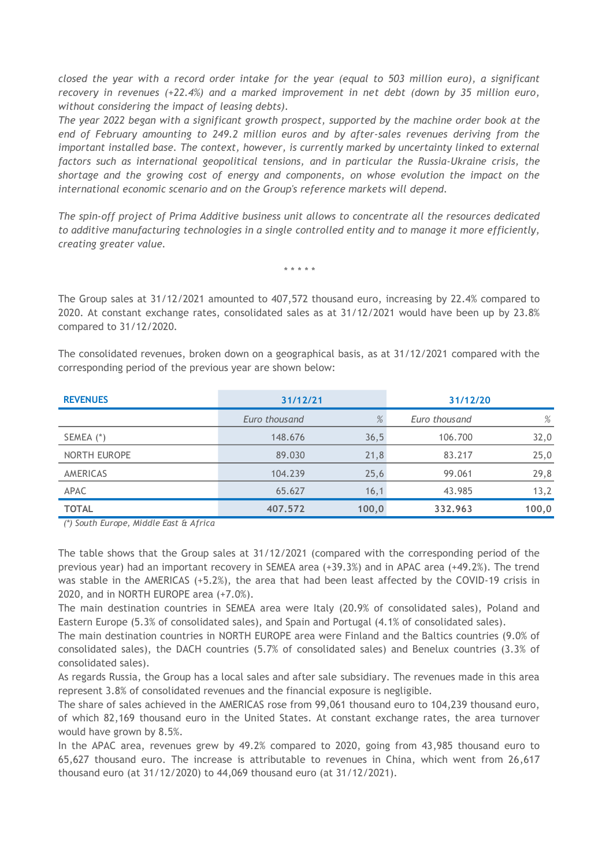*closed the year with a record order intake for the year (equal to 503 million euro), a significant recovery in revenues (+22.4%) and a marked improvement in net debt (down by 35 million euro, without considering the impact of leasing debts).* 

*The year 2022 began with a significant growth prospect, supported by the machine order book at the end of February amounting to 249.2 million euros and by after-sales revenues deriving from the important installed base. The context, however, is currently marked by uncertainty linked to external factors such as international geopolitical tensions, and in particular the Russia-Ukraine crisis, the shortage and the growing cost of energy and components, on whose evolution the impact on the international economic scenario and on the Group's reference markets will depend.*

*The spin-off project of Prima Additive business unit allows to concentrate all the resources dedicated to additive manufacturing technologies in a single controlled entity and to manage it more efficiently, creating greater value.*

*\* \* \* \* \**

The Group sales at 31/12/2021 amounted to 407,572 thousand euro, increasing by 22.4% compared to 2020. At constant exchange rates, consolidated sales as at 31/12/2021 would have been up by 23.8% compared to 31/12/2020.

The consolidated revenues, broken down on a geographical basis, as at 31/12/2021 compared with the corresponding period of the previous year are shown below:

| <b>REVENUES</b> | 31/12/21      |       | 31/12/20      |       |
|-----------------|---------------|-------|---------------|-------|
|                 | Euro thousand | %     | Euro thousand | %     |
| SEMEA (*)       | 148.676       | 36,5  | 106.700       | 32,0  |
| NORTH EUROPE    | 89.030        | 21,8  | 83.217        | 25,0  |
| AMERICAS        | 104.239       | 25,6  | 99.061        | 29,8  |
| APAC            | 65.627        | 16,1  | 43.985        | 13,2  |
| <b>TOTAL</b>    | 407.572       | 100,0 | 332.963       | 100,0 |

*(\*) South Europe, Middle East & Africa*

The table shows that the Group sales at 31/12/2021 (compared with the corresponding period of the previous year) had an important recovery in SEMEA area (+39.3%) and in APAC area (+49.2%). The trend was stable in the AMERICAS (+5.2%), the area that had been least affected by the COVID-19 crisis in 2020, and in NORTH EUROPE area (+7.0%).

The main destination countries in SEMEA area were Italy (20.9% of consolidated sales), Poland and Eastern Europe (5.3% of consolidated sales), and Spain and Portugal (4.1% of consolidated sales).

The main destination countries in NORTH EUROPE area were Finland and the Baltics countries (9.0% of consolidated sales), the DACH countries (5.7% of consolidated sales) and Benelux countries (3.3% of consolidated sales).

As regards Russia, the Group has a local sales and after sale subsidiary. The revenues made in this area represent 3.8% of consolidated revenues and the financial exposure is negligible.

The share of sales achieved in the AMERICAS rose from 99,061 thousand euro to 104,239 thousand euro, of which 82,169 thousand euro in the United States. At constant exchange rates, the area turnover would have grown by 8.5%.

In the APAC area, revenues grew by 49.2% compared to 2020, going from 43,985 thousand euro to 65,627 thousand euro. The increase is attributable to revenues in China, which went from 26,617 thousand euro (at 31/12/2020) to 44,069 thousand euro (at 31/12/2021).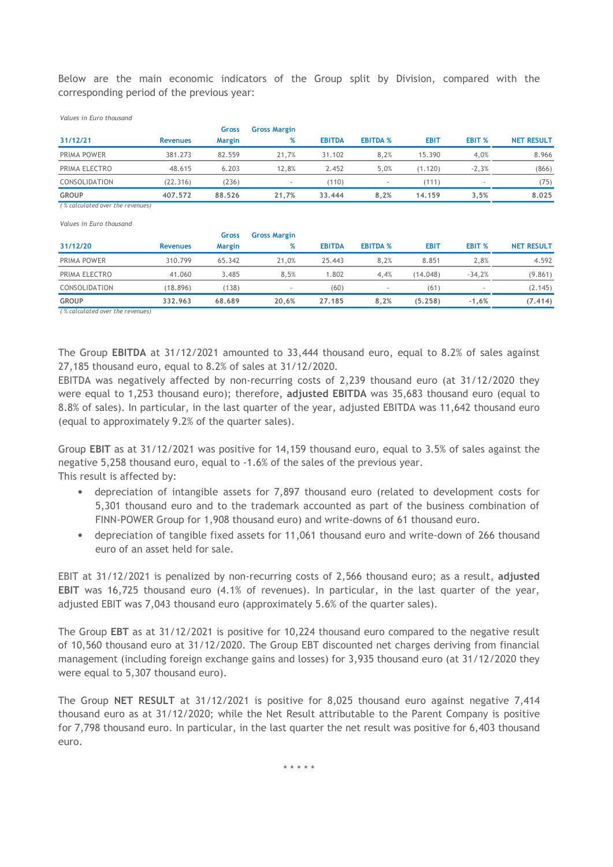Below are the main economic indicators of the Group split by Division, compared with the corresponding period of the previous year:

| corresponding period of the previous year: |                 |               |                          |               |                          |             |                          |                   |
|--------------------------------------------|-----------------|---------------|--------------------------|---------------|--------------------------|-------------|--------------------------|-------------------|
| Values in Euro thousand                    |                 |               |                          |               |                          |             |                          |                   |
|                                            |                 | Gross         | <b>Gross Margin</b>      |               |                          |             |                          |                   |
| 31/12/21                                   | <b>Revenues</b> | <b>Margin</b> | %                        | <b>EBITDA</b> | <b>EBITDA %</b>          | <b>EBIT</b> | EBIT %                   | <b>NET RESULT</b> |
| PRIMA POWER                                | 381.273         | 82.559        | 21.7%                    | 31.102        | 8,2%                     | 15.390      | 4,0%                     | 8.966             |
| PRIMA ELECTRO                              | 48.615          | 6.203         | 12,8%                    | 2.452         | 5,0%                     | (1.120)     | $-2,3%$                  | (866)             |
| CONSOLIDATION                              | (22.316)        | (236)         | $\overline{\phantom{a}}$ | (110)         | $\overline{\phantom{a}}$ | (111)       | $\overline{\phantom{a}}$ | (75)              |
| <b>GROUP</b>                               | 407.572         | 88.526        | 21,7%                    | 33.444        | 8,2%                     | 14.159      | 3,5%                     | 8.025             |

| <b>GROUP</b>                     | 407.572         | 88.526        | 21.7%               | 33.444        | 8,2%            | 14.159      | 3.5%          | 8.025             |
|----------------------------------|-----------------|---------------|---------------------|---------------|-----------------|-------------|---------------|-------------------|
| (% calculated over the revenues) |                 |               |                     |               |                 |             |               |                   |
| Values in Euro thousand          |                 | Gross         | <b>Gross Margin</b> |               |                 |             |               |                   |
| 31/12/20                         | <b>Revenues</b> | <b>Margin</b> | %                   | <b>EBITDA</b> | <b>EBITDA %</b> | <b>EBIT</b> | <b>EBIT %</b> | <b>NET RESULT</b> |
| PRIMA POWER                      | 310.799         | 65.342        | 21,0%               | 25.443        | 8,2%            | 8.851       | 2,8%          | 4.592             |
| PRIMA ELECTRO                    | 41.060          | 3.485         | 8,5%                | 1.802         | 4,4%            | (14.048)    | $-34,2%$      | (9.861)           |
| <b>CONSOLIDATION</b>             | (18.896)        | (138)         | ۰                   | (60)          | ٠               | (61)        |               | (2.145)           |
| <b>GROUP</b>                     | 332.963         | 68.689        | 20,6%               | 27.185        | 8,2%            | (5.258)     | $-1,6%$       | (7.414)           |

*( % calculated over the revenues)*

The Group **EBITDA** at 31/12/2021 amounted to 33,444 thousand euro, equal to 8.2% of sales against 27,185 thousand euro, equal to 8.2% of sales at 31/12/2020.

EBITDA was negatively affected by non-recurring costs of 2,239 thousand euro (at 31/12/2020 they were equal to 1,253 thousand euro); therefore, **adjusted EBITDA** was 35,683 thousand euro (equal to 8.8% of sales). In particular, in the last quarter of the year, adjusted EBITDA was 11,642 thousand euro (equal to approximately 9.2% of the quarter sales).

Group **EBIT** as at 31/12/2021 was positive for 14,159 thousand euro, equal to 3.5% of sales against the negative 5,258 thousand euro, equal to -1.6% of the sales of the previous year. This result is affected by:

- depreciation of intangible assets for 7,897 thousand euro (related to development costs for 5,301 thousand euro and to the trademark accounted as part of the business combination of FINN-POWER Group for 1,908 thousand euro) and write-downs of 61 thousand euro.
- depreciation of tangible fixed assets for 11,061 thousand euro and write-down of 266 thousand euro of an asset held for sale.

EBIT at 31/12/2021 is penalized by non-recurring costs of 2,566 thousand euro; as a result, **adjusted EBIT** was 16,725 thousand euro (4.1% of revenues). In particular, in the last quarter of the year, adjusted EBIT was 7,043 thousand euro (approximately 5.6% of the quarter sales).

The Group **EBT** as at 31/12/2021 is positive for 10,224 thousand euro compared to the negative result of 10,560 thousand euro at 31/12/2020. The Group EBT discounted net charges deriving from financial management (including foreign exchange gains and losses) for 3,935 thousand euro (at 31/12/2020 they were equal to 5,307 thousand euro).

The Group **NET RESULT** at 31/12/2021 is positive for 8,025 thousand euro against negative 7,414 thousand euro as at 31/12/2020; while the Net Result attributable to the Parent Company is positive for 7,798 thousand euro. In particular, in the last quarter the net result was positive for 6,403 thousand euro.

\* \* \* \* \*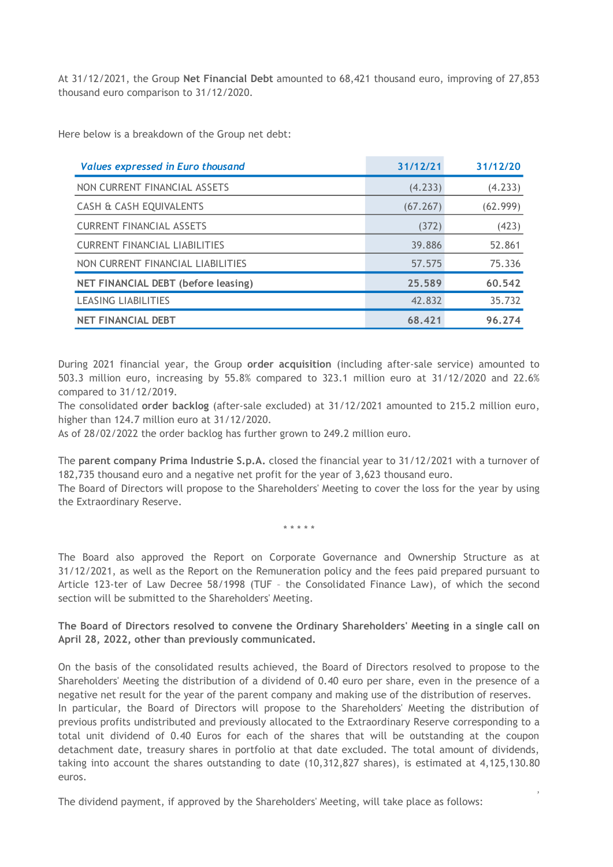At 31/12/2021, the Group **Net Financial Debt** amounted to 68,421 thousand euro, improving of 27,853 thousand euro comparison to 31/12/2020.

Here below is a breakdown of the Group net debt:

| <b>Values expressed in Euro thousand</b> | 31/12/21 | 31/12/20 |
|------------------------------------------|----------|----------|
| NON CURRENT FINANCIAL ASSETS             | (4.233)  | (4.233)  |
| CASH & CASH EQUIVALENTS                  | (67.267) | (62.999) |
| <b>CURRENT FINANCIAL ASSETS</b>          | (372)    | (423)    |
| <b>CURRENT FINANCIAL LIABILITIES</b>     | 39.886   | 52.861   |
| NON CURRENT FINANCIAL LIABILITIES        | 57.575   | 75.336   |
| NET FINANCIAL DEBT (before leasing)      | 25.589   | 60.542   |
| <b>LEASING LIABILITIES</b>               | 42.832   | 35.732   |
| <b>NET FINANCIAL DEBT</b>                | 68.421   | 96.274   |

During 2021 financial year, the Group **order acquisition** (including after-sale service) amounted to 503.3 million euro, increasing by 55.8% compared to 323.1 million euro at 31/12/2020 and 22.6% compared to 31/12/2019.

The consolidated **order backlog** (after-sale excluded) at 31/12/2021 amounted to 215.2 million euro, higher than 124.7 million euro at 31/12/2020.

As of 28/02/2022 the order backlog has further grown to 249.2 million euro.

The **parent company Prima Industrie S.p.A.** closed the financial year to 31/12/2021 with a turnover of 182,735 thousand euro and a negative net profit for the year of 3,623 thousand euro.

The Board of Directors will propose to the Shareholders' Meeting to cover the loss for the year by using the Extraordinary Reserve.

\* \* \* \* \*

The Board also approved the Report on Corporate Governance and Ownership Structure as at 31/12/2021, as well as the Report on the Remuneration policy and the fees paid prepared pursuant to Article 123-ter of Law Decree 58/1998 (TUF – the Consolidated Finance Law), of which the second section will be submitted to the Shareholders' Meeting.

**The Board of Directors resolved to convene the Ordinary Shareholders' Meeting in a single call on April 28, 2022, other than previously communicated.**

On the basis of the consolidated results achieved, the Board of Directors resolved to propose to the Shareholders' Meeting the distribution of a dividend of 0.40 euro per share, even in the presence of a negative net result for the year of the parent company and making use of the distribution of reserves.

In particular, the Board of Directors will propose to the Shareholders' Meeting the distribution of previous profits undistributed and previously allocated to the Extraordinary Reserve corresponding to a total unit dividend of 0.40 Euros for each of the shares that will be outstanding at the coupon detachment date, treasury shares in portfolio at that date excluded. The total amount of dividends, taking into account the shares outstanding to date (10,312,827 shares), is estimated at 4,125,130.80 euros.

,

The dividend payment, if approved by the Shareholders' Meeting, will take place as follows: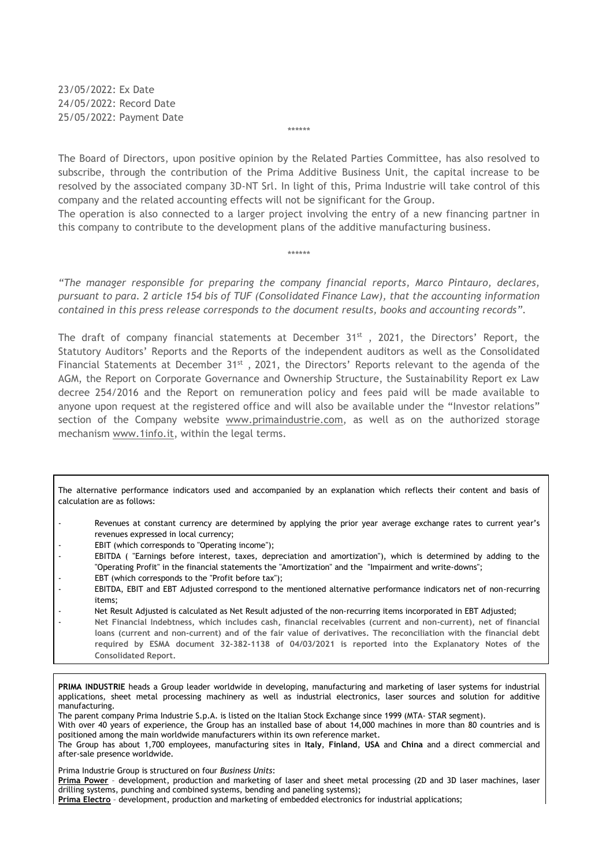23/05/2022: Ex Date 24/05/2022: Record Date 25/05/2022: Payment Date

The Board of Directors, upon positive opinion by the Related Parties Committee, has also resolved to subscribe, through the contribution of the Prima Additive Business Unit, the capital increase to be resolved by the associated company 3D-NT Srl. In light of this, Prima Industrie will take control of this company and the related accounting effects will not be significant for the Group.

\*\*\*\*\*\*

The operation is also connected to a larger project involving the entry of a new financing partner in this company to contribute to the development plans of the additive manufacturing business.

\*\*\*\*\*\*

*"The manager responsible for preparing the company financial reports, Marco Pintauro, declares, pursuant to para. 2 article 154 bis of TUF (Consolidated Finance Law), that the accounting information contained in this press release corresponds to the document results, books and accounting records".*

The draft of company financial statements at December  $31<sup>st</sup>$ , 2021, the Directors' Report, the Statutory Auditors' Reports and the Reports of the independent auditors as well as the Consolidated Financial Statements at December  $31^{st}$ , 2021, the Directors' Reports relevant to the agenda of the AGM, the Report on Corporate Governance and Ownership Structure, the Sustainability Report ex Law decree 254/2016 and the Report on remuneration policy and fees paid will be made available to anyone upon request at the registered office and will also be available under the "Investor relations" section of the Company website [www.primaindustrie.com,](http://www.primaindustrie.com/) as well as on the authorized storage mechanism [www.1info.it,](http://www.1info.it/) within the legal terms.

The alternative performance indicators used and accompanied by an explanation which reflects their content and basis of calculation are as follows:

- Revenues at constant currency are determined by applying the prior year average exchange rates to current year's revenues expressed in local currency;
- EBIT (which corresponds to "Operating income");
- EBITDA ( "Earnings before interest, taxes, depreciation and amortization"), which is determined by adding to the "Operating Profit" in the financial statements the "Amortization" and the "Impairment and write-downs";
- EBT (which corresponds to the "Profit before tax");
- EBITDA, EBIT and EBT Adjusted correspond to the mentioned alternative performance indicators net of non-recurring items;
- Net Result Adjusted is calculated as Net Result adjusted of the non-recurring items incorporated in EBT Adjusted;
- **Net Financial Indebtness, which includes cash, financial receivables (current and non-current), net of financial loans (current and non-current) and of the fair value of derivatives. The reconciliation with the financial debt required by ESMA document 32-382-1138 of 04/03/2021 is reported into the Explanatory Notes of the Consolidated Report.**

**PRIMA INDUSTRIE** heads a Group leader worldwide in developing, manufacturing and marketing of laser systems for industrial applications, sheet metal processing machinery as well as industrial electronics, laser sources and solution for additive manufacturing.

The parent company Prima Industrie S.p.A. is listed on the Italian Stock Exchange since 1999 (MTA- STAR segment). With over 40 years of experience, the Group has an installed base of about 14,000 machines in more than 80 countries and is positioned among the main worldwide manufacturers within its own reference market.

The Group has about 1,700 employees, manufacturing sites in **Italy**, **Finland**, **USA** and **China** and a direct commercial and after-sale presence worldwide.

Prima Industrie Group is structured on four *Business Units*:

**Prima Power** – development, production and marketing of laser and sheet metal processing (2D and 3D laser machines, laser drilling systems, punching and combined systems, bending and paneling systems);

**Prima Electro** – development, production and marketing of embedded electronics for industrial applications;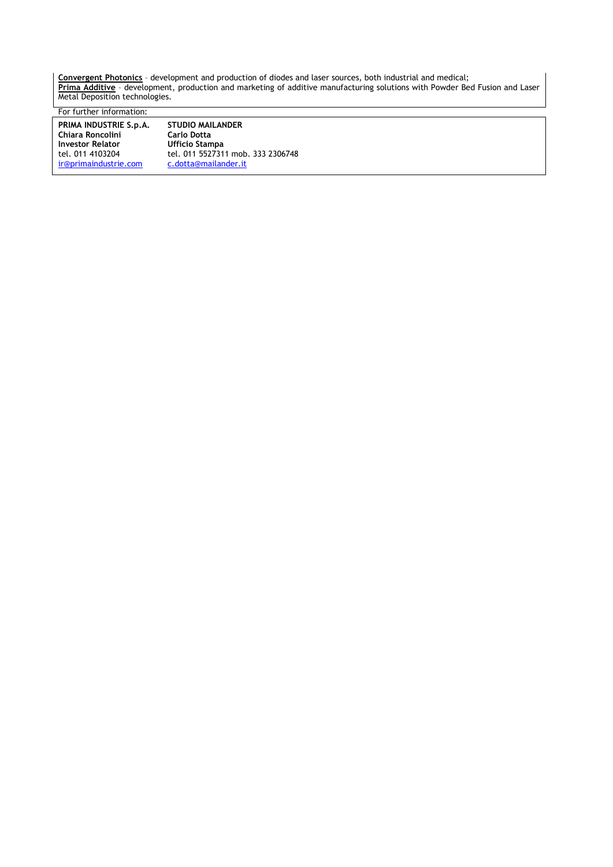**Convergent Photonics** – development and production of diodes and laser sources, both industrial and medical; **Prima Additive** – development, production and marketing of additive manufacturing solutions with Powder Bed Fusion and Laser Metal Deposition technologies.

For further information:

| PRIMA INDUSTRIE S.p.A.  | <b>STUDIO MAILANDER</b> |
|-------------------------|-------------------------|
| Chiara Roncolini        | <b>Carlo Dotta</b>      |
| <b>Investor Relator</b> | Ufficio Stampa          |
| tel. 011 4103204        | tel. 011 5527311 mc     |
| ir@primaindustrie.com   | c.dotta@mailander.      |

tel. 011 4103204 tel. 011 5527311 mob. 333 2306748 [ir@primaindustrie.com](mailto:ir@primaindustrie.com) [c.dotta@mailander.it](mailto:c.dotta@mailander.it)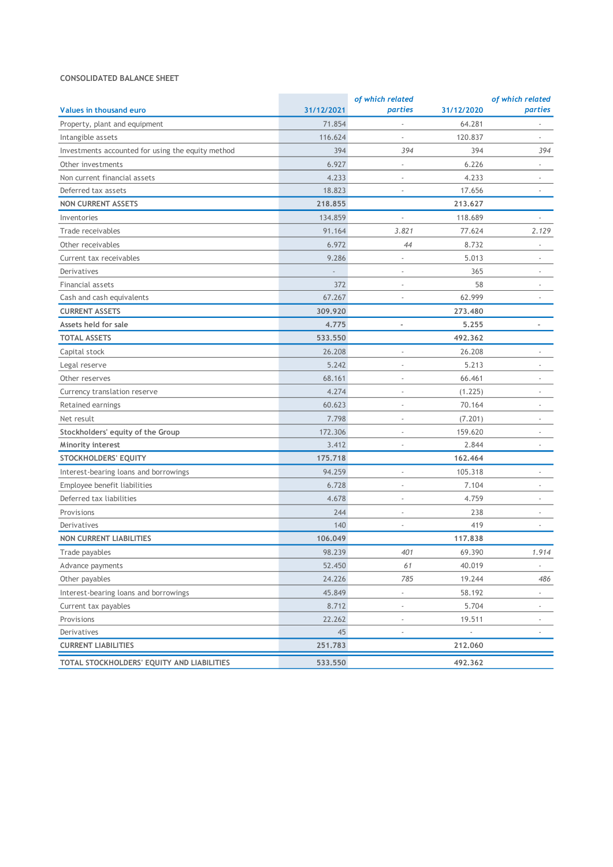#### **CONSOLIDATED BALANCE SHEET**

|                                                   | of which related |                          |                          | of which related         |  |
|---------------------------------------------------|------------------|--------------------------|--------------------------|--------------------------|--|
| Values in thousand euro                           | 31/12/2021       | parties                  | 31/12/2020               | parties                  |  |
| Property, plant and equipment                     | 71.854           |                          | 64.281                   |                          |  |
| Intangible assets                                 | 116.624          |                          | 120.837                  |                          |  |
| Investments accounted for using the equity method | 394              | 394                      | 394                      | 394                      |  |
| Other investments                                 | 6.927            | $\overline{\phantom{a}}$ | 6.226                    | $\overline{\phantom{a}}$ |  |
| Non current financial assets                      | 4.233            |                          | 4.233                    |                          |  |
| Deferred tax assets                               | 18.823           |                          | 17.656                   |                          |  |
| <b>NON CURRENT ASSETS</b>                         | 218.855          |                          | 213.627                  |                          |  |
| Inventories                                       | 134.859          |                          | 118.689                  |                          |  |
| Trade receivables                                 | 91.164           | 3.821                    | 77.624                   | 2.129                    |  |
| Other receivables                                 | 6.972            | 44                       | 8.732                    | $\blacksquare$           |  |
| Current tax receivables                           | 9.286            | $\overline{\phantom{0}}$ | 5.013                    |                          |  |
| Derivatives                                       |                  |                          | 365                      |                          |  |
| Financial assets                                  | 372              | $\overline{a}$           | 58                       |                          |  |
| Cash and cash equivalents                         | 67.267           |                          | 62.999                   |                          |  |
| <b>CURRENT ASSETS</b>                             | 309.920          |                          | 273,480                  |                          |  |
| Assets held for sale                              | 4.775            | $\overline{\phantom{a}}$ | 5,255                    | $\overline{a}$           |  |
| <b>TOTAL ASSETS</b>                               | 533.550          |                          | 492.362                  |                          |  |
| Capital stock                                     | 26.208           |                          | 26.208                   |                          |  |
| Legal reserve                                     | 5.242            | $\overline{a}$           | 5.213                    |                          |  |
| Other reserves                                    | 68.161           | $\overline{a}$           | 66.461                   |                          |  |
| Currency translation reserve                      | 4.274            | $\overline{\phantom{a}}$ | (1.225)                  | $\overline{\phantom{a}}$ |  |
| Retained earnings                                 | 60.623           | $\overline{a}$           | 70.164                   | $\overline{\phantom{a}}$ |  |
| Net result                                        | 7.798            |                          | (7.201)                  |                          |  |
| Stockholders' equity of the Group                 | 172.306          |                          | 159.620                  |                          |  |
| Minority interest                                 | 3.412            |                          | 2.844                    |                          |  |
| STOCKHOLDERS' EQUITY                              | 175.718          |                          | 162.464                  |                          |  |
| Interest-bearing loans and borrowings             | 94.259           | $\overline{\phantom{a}}$ | 105.318                  | $\overline{\phantom{a}}$ |  |
| Employee benefit liabilities                      | 6.728            | $\overline{a}$           | 7.104                    | $\overline{\phantom{a}}$ |  |
| Deferred tax liabilities                          | 4.678            | $\overline{\phantom{a}}$ | 4.759                    |                          |  |
| Provisions                                        | 244              | $\overline{\phantom{a}}$ | 238                      |                          |  |
| Derivatives                                       | 140              | $\overline{\phantom{a}}$ | 419                      |                          |  |
| <b>NON CURRENT LIABILITIES</b>                    | 106.049          |                          | 117,838                  |                          |  |
| Trade payables                                    | 98.239           | 401                      | 69.390                   | 1.914                    |  |
| Advance payments                                  | 52.450           | 61                       | 40.019                   | $\overline{\phantom{a}}$ |  |
| Other payables                                    | 24.226           | 785                      | 19.244                   | 486                      |  |
| Interest-bearing loans and borrowings             | 45.849           | $\overline{\phantom{a}}$ | 58.192                   |                          |  |
| Current tax payables                              | 8.712            | $\frac{1}{2}$            | 5.704                    |                          |  |
| Provisions                                        | 22.262           | $\frac{1}{2}$            | 19.511                   | $\overline{\phantom{a}}$ |  |
| Derivatives                                       | 45               | $\overline{\phantom{a}}$ | $\overline{\phantom{a}}$ | $\overline{\phantom{a}}$ |  |
| <b>CURRENT LIABILITIES</b>                        | 251.783          |                          | 212.060                  |                          |  |
| TOTAL STOCKHOLDERS' EQUITY AND LIABILITIES        | 533,550          |                          | 492.362                  |                          |  |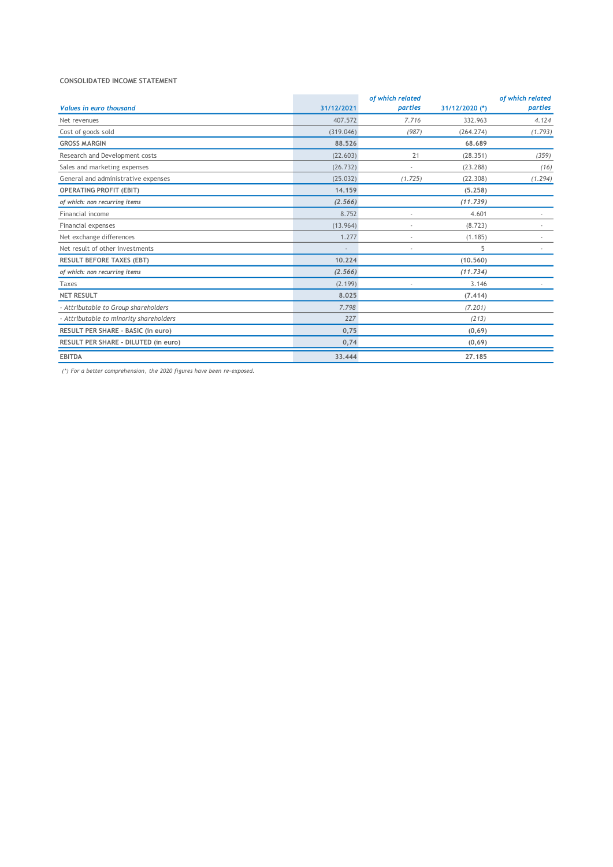#### **CONSOLIDATED INCOME STATEMENT**

|                                         |            | of which related |                | of which related         |
|-----------------------------------------|------------|------------------|----------------|--------------------------|
| <b>Values in euro thousand</b>          | 31/12/2021 | parties          | 31/12/2020 (*) | parties                  |
| Net revenues                            | 407.572    | 7.716            | 332.963        | 4.124                    |
| Cost of goods sold                      | (319.046)  | (987)            | (264.274)      | (1.793)                  |
| <b>GROSS MARGIN</b>                     | 88.526     |                  | 68.689         |                          |
| Research and Development costs          | (22.603)   | 21               | (28.351)       | (359)                    |
| Sales and marketing expenses            | (26.732)   |                  | (23.288)       | (16)                     |
| General and administrative expenses     | (25.032)   | (1.725)          | (22.308)       | (1.294)                  |
| <b>OPERATING PROFIT (EBIT)</b>          | 14.159     |                  | (5.258)        |                          |
| of which: non recurring items           | (2.566)    |                  | (11.739)       |                          |
| Financial income                        | 8.752      |                  | 4.601          |                          |
| Financial expenses                      | (13.964)   |                  | (8.723)        |                          |
| Net exchange differences                | 1.277      | ٠                | (1.185)        |                          |
| Net result of other investments         | i.         | ٠                | 5              | $\overline{\phantom{a}}$ |
| <b>RESULT BEFORE TAXES (EBT)</b>        | 10.224     |                  | (10.560)       |                          |
| of which: non recurring items           | (2.566)    |                  | (11.734)       |                          |
| Taxes                                   | (2.199)    |                  | 3.146          |                          |
| <b>NET RESULT</b>                       | 8.025      |                  | (7, 414)       |                          |
| - Attributable to Group shareholders    | 7.798      |                  | (7.201)        |                          |
| - Attributable to minority shareholders | 227        |                  | (213)          |                          |
| RESULT PER SHARE - BASIC (in euro)      | 0,75       |                  | (0,69)         |                          |
| RESULT PER SHARE - DILUTED (in euro)    | 0,74       |                  | (0,69)         |                          |
| <b>EBITDA</b>                           | 33.444     |                  | 27,185         |                          |

*(\*) For a better comprehension, the 2020 figures have been re-exposed.*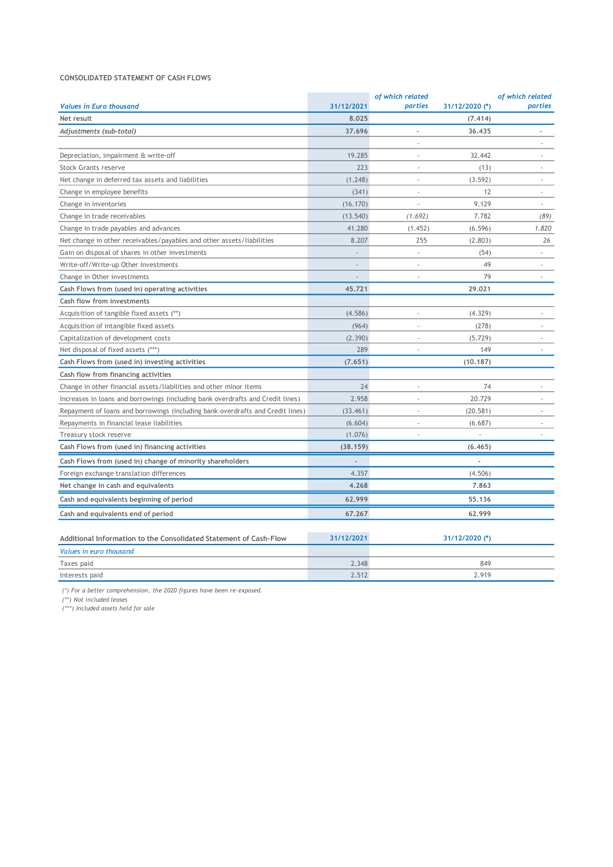#### **CONSOLIDATED STATEMENT OF CASH FLOWS**

|                                                                                |                | of which related         |                | of which related         |
|--------------------------------------------------------------------------------|----------------|--------------------------|----------------|--------------------------|
| <b>Values in Euro thousand</b>                                                 | 31/12/2021     | parties                  | 31/12/2020 (*) | parties                  |
| Net result                                                                     | 8.025          |                          | (7.414)        |                          |
| Adjustments (sub-total)                                                        | 37.696         | $\overline{a}$           | 36,435         | ÷,                       |
|                                                                                |                | ä,                       |                | ä,                       |
| Depreciation, impairment & write-off                                           | 19.285         | $\sim$                   | 32.442         | ×,                       |
| <b>Stock Grants reserve</b>                                                    | 223            | ä,                       | (13)           | ×,                       |
| Net change in deferred tax assets and liabilities                              | (1.248)        | ÷                        | (3.592)        | ä,                       |
| Change in employee benefits                                                    | (341)          | ×.                       | 12             | ä,                       |
| Change in inventories                                                          | (16.170)       | à.                       | 9.129          | $\overline{\phantom{a}}$ |
| Change in trade receivables                                                    | (13.540)       | (1.692)                  | 7.782          | (89)                     |
| Change in trade payables and advances                                          | 41.280         | (1.452)                  | (6.596)        | 1.820                    |
| Net change in other receivables/payables and other assets/liabilities          | 8.207          | 255                      | (2.803)        | 26                       |
| Gain on disposal of shares in other investments                                | ÷,             | ÷,                       | (54)           |                          |
| Write-off/Write-up Other Investments                                           | L.             | ä,                       | 49             | à.                       |
| Change in Other investments                                                    | ÷,             | $\overline{\phantom{a}}$ | 79             | $\sim$                   |
| Cash Flows from (used in) operating activities                                 | 45,721         |                          | 29,021         |                          |
| Cash flow from investments                                                     |                |                          |                |                          |
| Acquisition of tangible fixed assets (**)                                      | (4.586)        | ÷,                       | (4.329)        | ×.                       |
| Acquisition of intangible fixed assets                                         | (964)          | ÷,                       | (278)          | ×,                       |
| Capitalization of development costs                                            | (2.390)        |                          | (5.729)        |                          |
| Net disposal of fixed assets (***)                                             | 289            | ×,                       | 149            | $\sim$                   |
| Cash Flows from (used in) investing activities                                 | (7.651)        |                          | (10.187)       |                          |
| Cash flow from financing activities                                            |                |                          |                |                          |
| Change in other financial assets/liabilities and other minor items             | 24             | ä,                       | 74             | ×,                       |
| Increases in loans and borrowings (including bank overdrafts and Credit lines) | 2.958          | ä,                       | 20.729         | ä,                       |
| Repayment of loans and borrowings (including bank overdrafts and Credit lines) | (33.461)       | ÷,                       | (20.581)       | ×,                       |
| Repayments in financial lease liabilities                                      | (6.604)        | ÷                        | (6.687)        |                          |
| Treasury stock reserve                                                         | (1.076)        | ä,                       | ÷,             | ×,                       |
| Cash Flows from (used in) financing activities                                 | (38.159)       |                          | (6.465)        |                          |
| Cash Flows from (used in) change of minority shareholders                      | $\overline{a}$ |                          | L.             |                          |
| Foreign exchange translation differences                                       | 4.357          |                          | (4.506)        |                          |
| Net change in cash and equivalents                                             | 4.268          |                          | 7.863          |                          |
| Cash and equivalents beginning of period                                       | 62.999         |                          | 55,136         |                          |
| Cash and equivalents end of period                                             | 67.267         |                          | 62.999         |                          |
| Additional Information to the Consolidated Statement of Cash-Flow              | 31/12/2021     |                          | 31/12/2020 (*) |                          |
| Values in euro thousand                                                        |                |                          |                |                          |
| Taxes paid                                                                     | 2.348          |                          | 849            |                          |
| Interests paid                                                                 | 2.512          |                          | 2.919          |                          |

*(\*) For a better comprehension, the 2020 figures have been re-exposed.*

*(\*\*) Not included leases* 

*(\*\*\*) Included assets held for sale*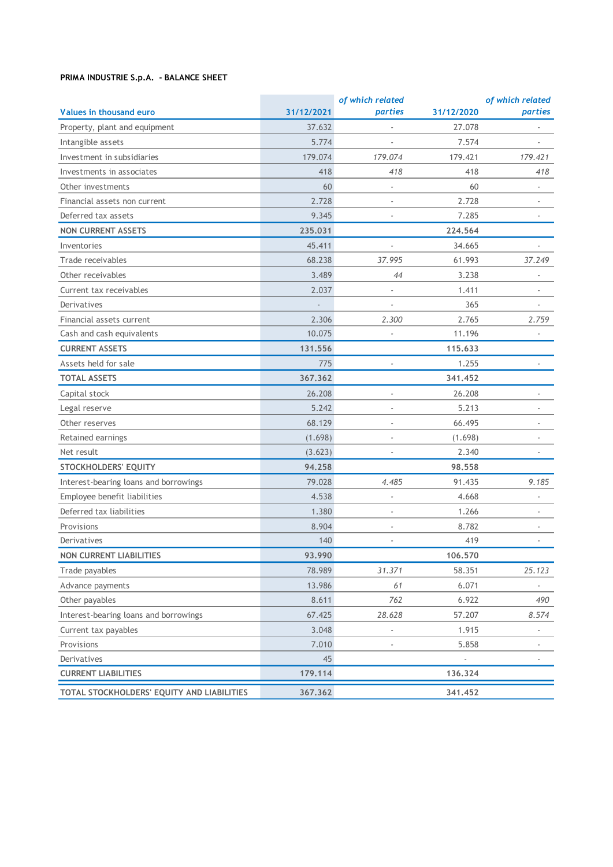## **PRIMA INDUSTRIE S.p.A. - BALANCE SHEET**

|                                            |            | of which related         |                | of which related         |
|--------------------------------------------|------------|--------------------------|----------------|--------------------------|
| Values in thousand euro                    | 31/12/2021 | parties                  | 31/12/2020     | parties                  |
| Property, plant and equipment              | 37.632     |                          | 27.078         |                          |
| Intangible assets                          | 5.774      |                          | 7.574          |                          |
| Investment in subsidiaries                 | 179.074    | 179.074                  | 179.421        | 179.421                  |
| Investments in associates                  | 418        | 418                      | 418            | 418                      |
| Other investments                          | 60         | ÷,                       | 60             |                          |
| Financial assets non current               | 2.728      | $\overline{\phantom{a}}$ | 2.728          | $\overline{\phantom{a}}$ |
| Deferred tax assets                        | 9.345      |                          | 7.285          |                          |
| <b>NON CURRENT ASSETS</b>                  | 235.031    |                          | 224,564        |                          |
| Inventories                                | 45.411     |                          | 34.665         | $\overline{a}$           |
| Trade receivables                          | 68.238     | 37.995                   | 61.993         | 37.249                   |
| Other receivables                          | 3.489      | 44                       | 3.238          | $\overline{\phantom{a}}$ |
| Current tax receivables                    | 2.037      |                          | 1.411          |                          |
| Derivatives                                |            |                          | 365            |                          |
| Financial assets current                   | 2.306      | 2.300                    | 2.765          | 2.759                    |
| Cash and cash equivalents                  | 10.075     |                          | 11.196         |                          |
| <b>CURRENT ASSETS</b>                      | 131.556    |                          | 115,633        |                          |
| Assets held for sale                       | 775        |                          | 1.255          |                          |
| <b>TOTAL ASSETS</b>                        | 367.362    |                          | 341,452        |                          |
| Capital stock                              | 26.208     | ×,                       | 26.208         | $\overline{\phantom{a}}$ |
| Legal reserve                              | 5.242      | $\overline{a}$           | 5.213          |                          |
| Other reserves                             | 68.129     | $\overline{\phantom{m}}$ | 66.495         | $\overline{\phantom{a}}$ |
| Retained earnings                          | (1.698)    |                          | (1.698)        |                          |
| Net result                                 | (3.623)    |                          | 2.340          |                          |
| <b>STOCKHOLDERS' EQUITY</b>                | 94.258     |                          | 98.558         |                          |
| Interest-bearing loans and borrowings      | 79.028     | 4.485                    | 91.435         | 9.185                    |
| Employee benefit liabilities               | 4.538      | $\overline{\phantom{m}}$ | 4.668          | $\overline{\phantom{a}}$ |
| Deferred tax liabilities                   | 1.380      | ÷,                       | 1.266          |                          |
| Provisions                                 | 8.904      | ×,                       | 8.782          | $\overline{\phantom{a}}$ |
| Derivatives                                | 140        | $\overline{\phantom{a}}$ | 419            | $\overline{\phantom{a}}$ |
| <b>NON CURRENT LIABILITIES</b>             | 93.990     |                          | 106.570        |                          |
| Trade payables                             | 78.989     | 31.371                   | 58.351         | 25.123                   |
| Advance payments                           | 13.986     | 61                       | 6.071          |                          |
| Other payables                             | 8.611      | 762                      | 6.922          | 490                      |
| Interest-bearing loans and borrowings      | 67.425     | 28.628                   | 57.207         | 8.574                    |
| Current tax payables                       | 3.048      |                          | 1.915          |                          |
| Provisions                                 | 7.010      |                          | 5.858          |                          |
| Derivatives                                | 45         |                          | $\overline{a}$ |                          |
| <b>CURRENT LIABILITIES</b>                 | 179.114    |                          | 136.324        |                          |
| TOTAL STOCKHOLDERS' EQUITY AND LIABILITIES | 367.362    |                          | 341.452        |                          |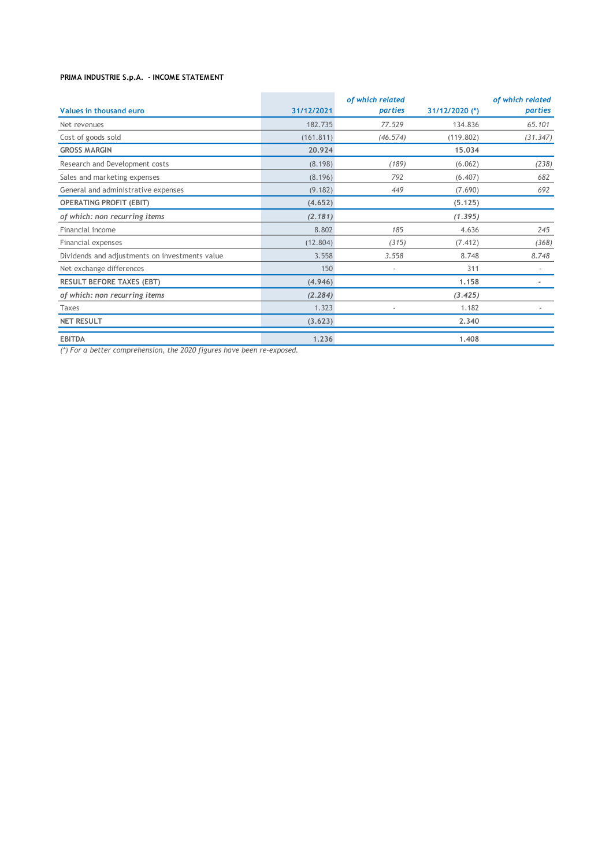### **PRIMA INDUSTRIE S.p.A. - INCOME STATEMENT**

|                                                |            | of which related         |                | of which related |
|------------------------------------------------|------------|--------------------------|----------------|------------------|
| Values in thousand euro                        | 31/12/2021 | parties                  | 31/12/2020 (*) | parties          |
| Net revenues                                   | 182.735    | 77.529                   | 134.836        | 65.101           |
| Cost of goods sold                             | (161.811)  | (46.574)                 | (119.802)      | (31.347)         |
| <b>GROSS MARGIN</b>                            | 20.924     |                          | 15.034         |                  |
| Research and Development costs                 | (8.198)    | (189)                    | (6.062)        | (238)            |
| Sales and marketing expenses                   | (8.196)    | 792                      | (6.407)        | 682              |
| General and administrative expenses            | (9.182)    | 449                      | (7.690)        | 692              |
| <b>OPERATING PROFIT (EBIT)</b>                 | (4.652)    |                          | (5.125)        |                  |
| of which: non recurring items                  | (2.181)    |                          | (1.395)        |                  |
| Financial income                               | 8.802      | 185                      | 4.636          | 245              |
| Financial expenses                             | (12.804)   | (315)                    | (7.412)        | (368)            |
| Dividends and adjustments on investments value | 3.558      | 3.558                    | 8.748          | 8.748            |
| Net exchange differences                       | 150        | $\overline{\phantom{a}}$ | 311            |                  |
| <b>RESULT BEFORE TAXES (EBT)</b>               | (4.946)    |                          | 1.158          |                  |
| of which: non recurring items                  | (2.284)    |                          | (3.425)        |                  |
| <b>Taxes</b>                                   | 1.323      |                          | 1.182          |                  |
| <b>NET RESULT</b>                              | (3.623)    |                          | 2.340          |                  |
| <b>EBITDA</b>                                  | 1.236      |                          | 1,408          |                  |

*(\*) For a better comprehension, the 2020 figures have been re-exposed.*